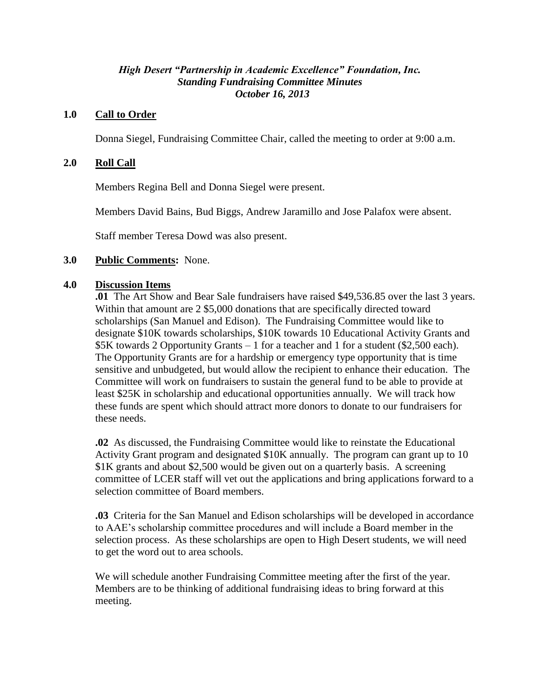# *High Desert "Partnership in Academic Excellence" Foundation, Inc. Standing Fundraising Committee Minutes October 16, 2013*

## **1.0 Call to Order**

Donna Siegel, Fundraising Committee Chair, called the meeting to order at 9:00 a.m.

## **2.0 Roll Call**

Members Regina Bell and Donna Siegel were present.

Members David Bains, Bud Biggs, Andrew Jaramillo and Jose Palafox were absent.

Staff member Teresa Dowd was also present.

### **3.0 Public Comments:** None.

### **4.0 Discussion Items**

**.01** The Art Show and Bear Sale fundraisers have raised \$49,536.85 over the last 3 years. Within that amount are 2 \$5,000 donations that are specifically directed toward scholarships (San Manuel and Edison). The Fundraising Committee would like to designate \$10K towards scholarships, \$10K towards 10 Educational Activity Grants and \$5K towards 2 Opportunity Grants – 1 for a teacher and 1 for a student (\$2,500 each). The Opportunity Grants are for a hardship or emergency type opportunity that is time sensitive and unbudgeted, but would allow the recipient to enhance their education. The Committee will work on fundraisers to sustain the general fund to be able to provide at least \$25K in scholarship and educational opportunities annually. We will track how these funds are spent which should attract more donors to donate to our fundraisers for these needs.

**.02** As discussed, the Fundraising Committee would like to reinstate the Educational Activity Grant program and designated \$10K annually. The program can grant up to 10 \$1K grants and about \$2,500 would be given out on a quarterly basis. A screening committee of LCER staff will vet out the applications and bring applications forward to a selection committee of Board members.

**.03** Criteria for the San Manuel and Edison scholarships will be developed in accordance to AAE's scholarship committee procedures and will include a Board member in the selection process. As these scholarships are open to High Desert students, we will need to get the word out to area schools.

We will schedule another Fundraising Committee meeting after the first of the year. Members are to be thinking of additional fundraising ideas to bring forward at this meeting.